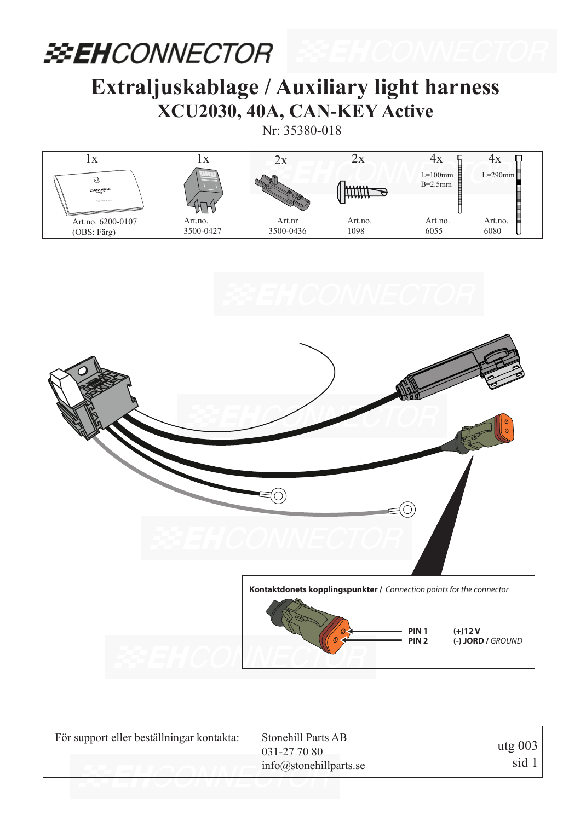#### **EXEHCONNECTOR**

#### **Extraljuskablage / Auxiliary light harness XCU2030, 40A, CAN-KEY Active**

Nr: 35380-018







| För support eller beställningar kontakta: | Stonehill Parts AB<br>031-27 70 80 | utg $003$ |
|-------------------------------------------|------------------------------------|-----------|
|                                           | $info@$ stonehillparts.se          | sid 1     |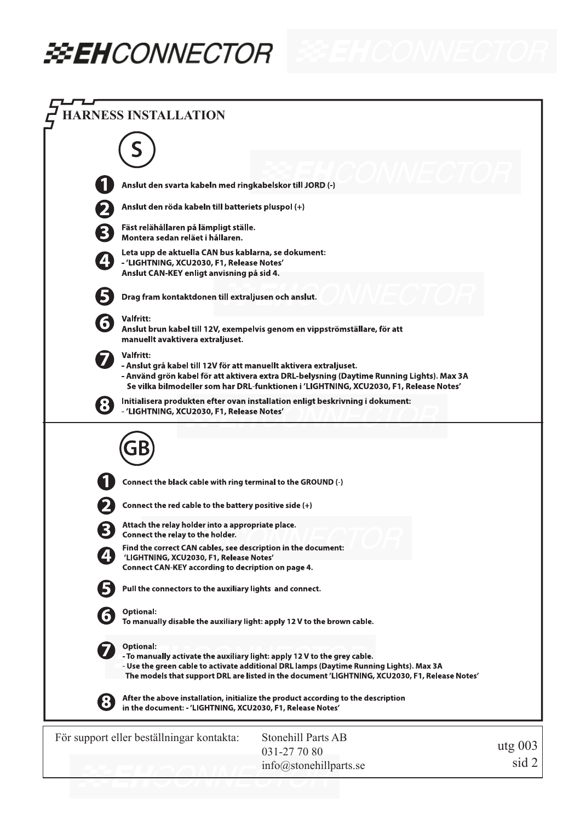## **EEH**CONNECTOR

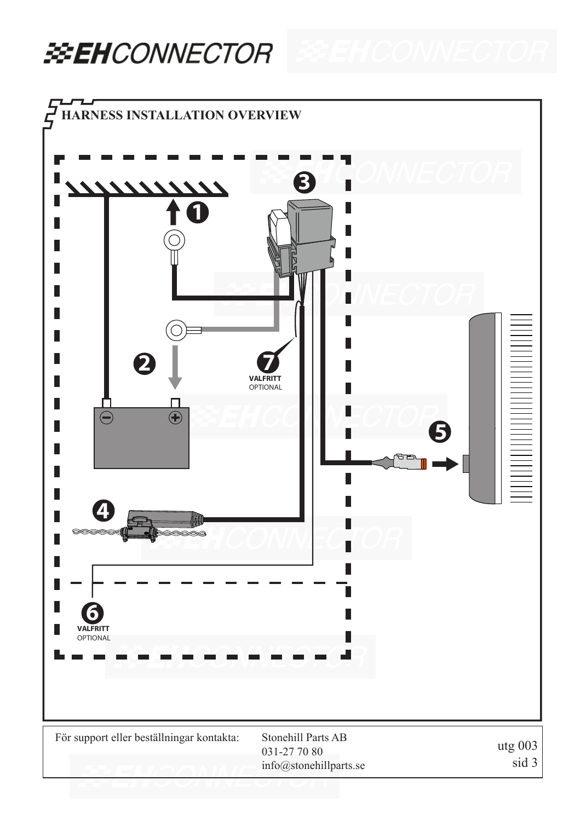#### **EEHCONNECTOR**

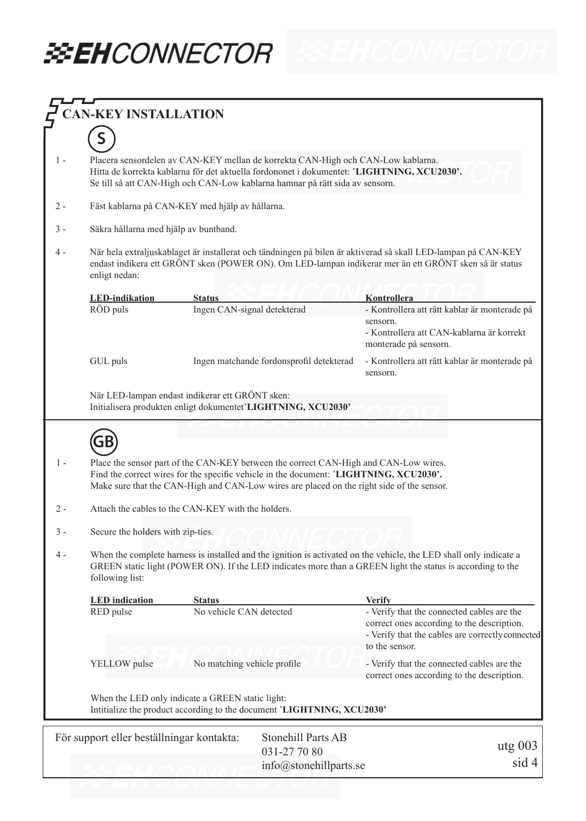# **BEHCONNECTOR EEH CONNECTOR**

| <b>AN-KEY INSTALLATION</b>                                             |                                                                                                                                                                                                                                                                             |                             |                                                                                          |                                                                                                                                                                |  |  |  |
|------------------------------------------------------------------------|-----------------------------------------------------------------------------------------------------------------------------------------------------------------------------------------------------------------------------------------------------------------------------|-----------------------------|------------------------------------------------------------------------------------------|----------------------------------------------------------------------------------------------------------------------------------------------------------------|--|--|--|
|                                                                        |                                                                                                                                                                                                                                                                             |                             |                                                                                          |                                                                                                                                                                |  |  |  |
| 1 -                                                                    | Placera sensordelen av CAN-KEY mellan de korrekta CAN-High och CAN-Low kablarna.<br>Hitta de korrekta kablarna för det aktuella fordononet i dokumentet: 'LIGHTNING, XCU2030'.<br>Se till så att CAN-High och CAN-Low kablarna hamnar på rätt sida av sensorn.              |                             |                                                                                          |                                                                                                                                                                |  |  |  |
| 2 -                                                                    | Fäst kablarna på CAN-KEY med hjälp av hållarna.                                                                                                                                                                                                                             |                             |                                                                                          |                                                                                                                                                                |  |  |  |
|                                                                        | Säkra hållarna med hjälp av buntband.                                                                                                                                                                                                                                       |                             |                                                                                          |                                                                                                                                                                |  |  |  |
| 4 -                                                                    | När hela extraljuskablaget är installerat och tändningen på bilen är aktiverad så skall LED-lampan på CAN-KEY<br>endast indikera ett GRÖNT sken (POWER ON). Om LED-lampan indikerar mer än ett GRÖNT sken så är status<br>enligt nedan:                                     |                             |                                                                                          |                                                                                                                                                                |  |  |  |
|                                                                        | <b>LED-indikation</b>                                                                                                                                                                                                                                                       | <b>Status</b>               |                                                                                          | Kontrollera                                                                                                                                                    |  |  |  |
|                                                                        | RÖD puls                                                                                                                                                                                                                                                                    | Ingen CAN-signal detekterad |                                                                                          | - Kontrollera att rätt kablar är monterade på                                                                                                                  |  |  |  |
|                                                                        |                                                                                                                                                                                                                                                                             |                             |                                                                                          | sensorn.<br>- Kontrollera att CAN-kablarna är korrekt<br>monterade på sensorn.                                                                                 |  |  |  |
|                                                                        | GUL puls                                                                                                                                                                                                                                                                    |                             | Ingen matchande fordonsprofil detekterad                                                 | - Kontrollera att rätt kablar är monterade på<br>sensorn.                                                                                                      |  |  |  |
|                                                                        | När LED-lampan endast indikerar ett GRÖNT sken:<br>Initialisera produkten enligt dokumentet'LIGHTNING, XCU2030'                                                                                                                                                             |                             |                                                                                          |                                                                                                                                                                |  |  |  |
|                                                                        |                                                                                                                                                                                                                                                                             |                             |                                                                                          |                                                                                                                                                                |  |  |  |
|                                                                        | GB                                                                                                                                                                                                                                                                          |                             |                                                                                          |                                                                                                                                                                |  |  |  |
| 1 -                                                                    | Place the sensor part of the CAN-KEY between the correct CAN-High and CAN-Low wires.<br>Find the correct wires for the specific vehicle in the document: 'LIGHTNING, XCU2030'.<br>Make sure that the CAN-High and CAN-Low wires are placed on the right side of the sensor. |                             |                                                                                          |                                                                                                                                                                |  |  |  |
| 2 -                                                                    | Attach the cables to the CAN-KEY with the holders.                                                                                                                                                                                                                          |                             |                                                                                          |                                                                                                                                                                |  |  |  |
| 3 -                                                                    | Secure the holders with zip-ties.                                                                                                                                                                                                                                           |                             |                                                                                          |                                                                                                                                                                |  |  |  |
| 4 -                                                                    | When the complete harness is installed and the ignition is activated on the vehicle, the LED shall only indicate a<br>GREEN static light (POWER ON). If the LED indicates more than a GREEN light the status is according to the<br>following list:                         |                             |                                                                                          |                                                                                                                                                                |  |  |  |
|                                                                        | <b>LED</b> indication                                                                                                                                                                                                                                                       | <b>Status</b>               |                                                                                          | <b>Verify</b>                                                                                                                                                  |  |  |  |
|                                                                        | RED pulse                                                                                                                                                                                                                                                                   | No vehicle CAN detected     |                                                                                          | - Verify that the connected cables are the<br>correct ones according to the description.<br>- Verify that the cables are correctly connected<br>to the sensor. |  |  |  |
|                                                                        | YELLOW pulse<br>No matching vehicle profile                                                                                                                                                                                                                                 |                             | - Verify that the connected cables are the<br>correct ones according to the description. |                                                                                                                                                                |  |  |  |
|                                                                        | When the LED only indicate a GREEN static light:<br>Intitialize the product according to the document 'LIGHTNING, XCU2030'                                                                                                                                                  |                             |                                                                                          |                                                                                                                                                                |  |  |  |
| För support eller beställningar kontakta:<br><b>Stonehill Parts AB</b> |                                                                                                                                                                                                                                                                             |                             |                                                                                          |                                                                                                                                                                |  |  |  |
|                                                                        |                                                                                                                                                                                                                                                                             |                             | 031-27 70 80                                                                             | $utg$ 003                                                                                                                                                      |  |  |  |
|                                                                        |                                                                                                                                                                                                                                                                             |                             | $info@$ stonehillparts.se                                                                | sid 4                                                                                                                                                          |  |  |  |
|                                                                        |                                                                                                                                                                                                                                                                             |                             |                                                                                          |                                                                                                                                                                |  |  |  |